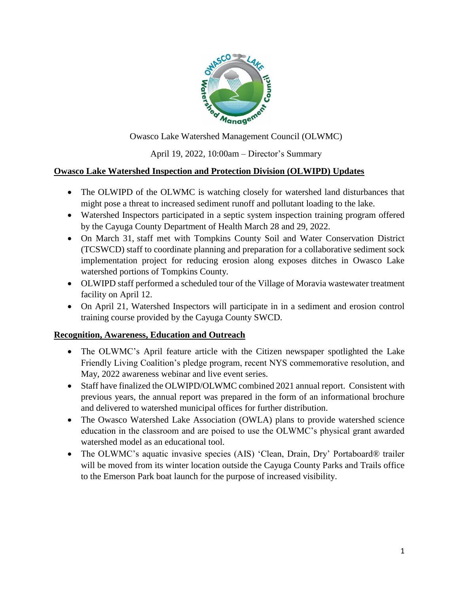

Owasco Lake Watershed Management Council (OLWMC)

April 19, 2022, 10:00am – Director's Summary

## **Owasco Lake Watershed Inspection and Protection Division (OLWIPD) Updates**

- The OLWIPD of the OLWMC is watching closely for watershed land disturbances that might pose a threat to increased sediment runoff and pollutant loading to the lake.
- Watershed Inspectors participated in a septic system inspection training program offered by the Cayuga County Department of Health March 28 and 29, 2022.
- On March 31, staff met with Tompkins County Soil and Water Conservation District (TCSWCD) staff to coordinate planning and preparation for a collaborative sediment sock implementation project for reducing erosion along exposes ditches in Owasco Lake watershed portions of Tompkins County.
- OLWIPD staff performed a scheduled tour of the Village of Moravia wastewater treatment facility on April 12.
- On April 21, Watershed Inspectors will participate in in a sediment and erosion control training course provided by the Cayuga County SWCD.

### **Recognition, Awareness, Education and Outreach**

- The OLWMC's April feature article with the Citizen newspaper spotlighted the Lake Friendly Living Coalition's pledge program, recent NYS commemorative resolution, and May, 2022 awareness webinar and live event series.
- Staff have finalized the OLWIPD/OLWMC combined 2021 annual report. Consistent with previous years, the annual report was prepared in the form of an informational brochure and delivered to watershed municipal offices for further distribution.
- The Owasco Watershed Lake Association (OWLA) plans to provide watershed science education in the classroom and are poised to use the OLWMC's physical grant awarded watershed model as an educational tool.
- The OLWMC's aquatic invasive species (AIS) 'Clean, Drain, Dry' Portaboard® trailer will be moved from its winter location outside the Cayuga County Parks and Trails office to the Emerson Park boat launch for the purpose of increased visibility.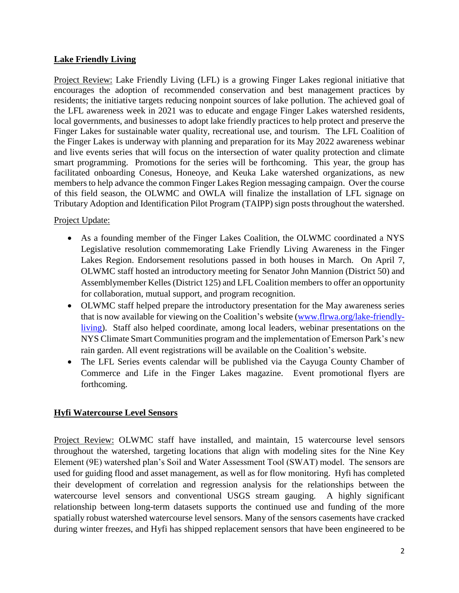### **Lake Friendly Living**

Project Review: Lake Friendly Living (LFL) is a growing Finger Lakes regional initiative that encourages the adoption of recommended conservation and best management practices by residents; the initiative targets reducing nonpoint sources of lake pollution. The achieved goal of the LFL awareness week in 2021 was to educate and engage Finger Lakes watershed residents, local governments, and businesses to adopt lake friendly practices to help protect and preserve the Finger Lakes for sustainable water quality, recreational use, and tourism. The LFL Coalition of the Finger Lakes is underway with planning and preparation for its May 2022 awareness webinar and live events series that will focus on the intersection of water quality protection and climate smart programming. Promotions for the series will be forthcoming. This year, the group has facilitated onboarding Conesus, Honeoye, and Keuka Lake watershed organizations, as new members to help advance the common Finger Lakes Region messaging campaign. Over the course of this field season, the OLWMC and OWLA will finalize the installation of LFL signage on Tributary Adoption and Identification Pilot Program (TAIPP) sign posts throughout the watershed.

#### Project Update:

- As a founding member of the Finger Lakes Coalition, the OLWMC coordinated a NYS Legislative resolution commemorating Lake Friendly Living Awareness in the Finger Lakes Region. Endorsement resolutions passed in both houses in March. On April 7, OLWMC staff hosted an introductory meeting for Senator John Mannion (District 50) and Assemblymember Kelles (District 125) and LFL Coalition members to offer an opportunity for collaboration, mutual support, and program recognition.
- OLWMC staff helped prepare the introductory presentation for the May awareness series that is now available for viewing on the Coalition's website [\(www.flrwa.org/lake-friendly](http://www.flrwa.org/lake-friendly-living)[living\)](http://www.flrwa.org/lake-friendly-living). Staff also helped coordinate, among local leaders, webinar presentations on the NYS Climate Smart Communities program and the implementation of Emerson Park's new rain garden. All event registrations will be available on the Coalition's website.
- The LFL Series events calendar will be published via the Cayuga County Chamber of Commerce and Life in the Finger Lakes magazine. Event promotional flyers are forthcoming.

### **Hyfi Watercourse Level Sensors**

Project Review: OLWMC staff have installed, and maintain, 15 watercourse level sensors throughout the watershed, targeting locations that align with modeling sites for the Nine Key Element (9E) watershed plan's Soil and Water Assessment Tool (SWAT) model. The sensors are used for guiding flood and asset management, as well as for flow monitoring. Hyfi has completed their development of correlation and regression analysis for the relationships between the watercourse level sensors and conventional USGS stream gauging. A highly significant relationship between long-term datasets supports the continued use and funding of the more spatially robust watershed watercourse level sensors. Many of the sensors casements have cracked during winter freezes, and Hyfi has shipped replacement sensors that have been engineered to be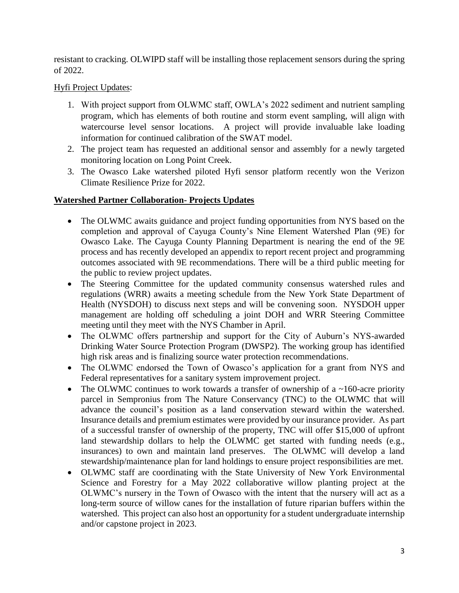resistant to cracking. OLWIPD staff will be installing those replacement sensors during the spring of 2022.

### Hyfi Project Updates:

- 1. With project support from OLWMC staff, OWLA's 2022 sediment and nutrient sampling program, which has elements of both routine and storm event sampling, will align with watercourse level sensor locations. A project will provide invaluable lake loading information for continued calibration of the SWAT model.
- 2. The project team has requested an additional sensor and assembly for a newly targeted monitoring location on Long Point Creek.
- 3. The Owasco Lake watershed piloted Hyfi sensor platform recently won the Verizon Climate Resilience Prize for 2022.

#### **Watershed Partner Collaboration- Projects Updates**

- The OLWMC awaits guidance and project funding opportunities from NYS based on the completion and approval of Cayuga County's Nine Element Watershed Plan (9E) for Owasco Lake. The Cayuga County Planning Department is nearing the end of the 9E process and has recently developed an appendix to report recent project and programming outcomes associated with 9E recommendations. There will be a third public meeting for the public to review project updates.
- The Steering Committee for the updated community consensus watershed rules and regulations (WRR) awaits a meeting schedule from the New York State Department of Health (NYSDOH) to discuss next steps and will be convening soon. NYSDOH upper management are holding off scheduling a joint DOH and WRR Steering Committee meeting until they meet with the NYS Chamber in April.
- The OLWMC offers partnership and support for the City of Auburn's NYS-awarded Drinking Water Source Protection Program (DWSP2). The working group has identified high risk areas and is finalizing source water protection recommendations.
- The OLWMC endorsed the Town of Owasco's application for a grant from NYS and Federal representatives for a sanitary system improvement project.
- The OLWMC continues to work towards a transfer of ownership of a  $\sim$ 160-acre priority parcel in Sempronius from The Nature Conservancy (TNC) to the OLWMC that will advance the council's position as a land conservation steward within the watershed. Insurance details and premium estimates were provided by our insurance provider. As part of a successful transfer of ownership of the property, TNC will offer \$15,000 of upfront land stewardship dollars to help the OLWMC get started with funding needs (e.g., insurances) to own and maintain land preserves. The OLWMC will develop a land stewardship/maintenance plan for land holdings to ensure project responsibilities are met.
- OLWMC staff are coordinating with the State University of New York Environmental Science and Forestry for a May 2022 collaborative willow planting project at the OLWMC's nursery in the Town of Owasco with the intent that the nursery will act as a long-term source of willow canes for the installation of future riparian buffers within the watershed. This project can also host an opportunity for a student undergraduate internship and/or capstone project in 2023.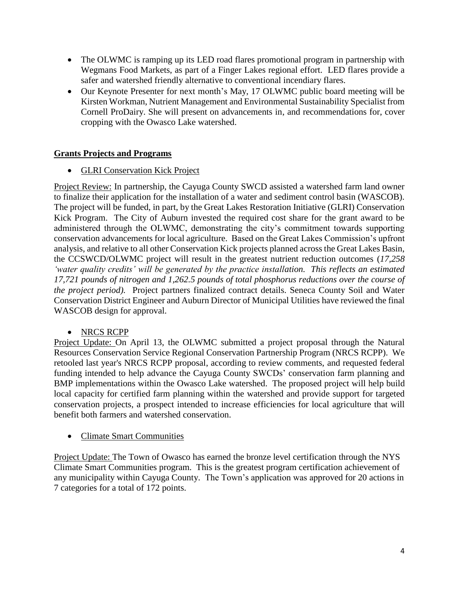- The OLWMC is ramping up its LED road flares promotional program in partnership with Wegmans Food Markets, as part of a Finger Lakes regional effort. LED flares provide a safer and watershed friendly alternative to conventional incendiary flares.
- Our Keynote Presenter for next month's May, 17 OLWMC public board meeting will be Kirsten Workman, Nutrient Management and Environmental Sustainability Specialist from Cornell ProDairy. She will present on advancements in, and recommendations for, cover cropping with the Owasco Lake watershed.

# **Grants Projects and Programs**

• GLRI Conservation Kick Project

Project Review: In partnership, the Cayuga County SWCD assisted a watershed farm land owner to finalize their application for the installation of a water and sediment control basin (WASCOB). The project will be funded, in part, by the Great Lakes Restoration Initiative (GLRI) Conservation Kick Program. The City of Auburn invested the required cost share for the grant award to be administered through the OLWMC, demonstrating the city's commitment towards supporting conservation advancements for local agriculture. Based on the Great Lakes Commission's upfront analysis, and relative to all other Conservation Kick projects planned across the Great Lakes Basin, the CCSWCD/OLWMC project will result in the greatest nutrient reduction outcomes (*17,258 'water quality credits' will be generated by the practice installation. This reflects an estimated 17,721 pounds of nitrogen and 1,262.5 pounds of total phosphorus reductions over the course of the project period).* Project partners finalized contract details. Seneca County Soil and Water Conservation District Engineer and Auburn Director of Municipal Utilities have reviewed the final WASCOB design for approval.

### • NRCS RCPP

Project Update: On April 13, the OLWMC submitted a project proposal through the Natural Resources Conservation Service Regional Conservation Partnership Program (NRCS RCPP). We retooled last year's NRCS RCPP proposal, according to review comments, and requested federal funding intended to help advance the Cayuga County SWCDs' conservation farm planning and BMP implementations within the Owasco Lake watershed. The proposed project will help build local capacity for certified farm planning within the watershed and provide support for targeted conservation projects, a prospect intended to increase efficiencies for local agriculture that will benefit both farmers and watershed conservation.

### • Climate Smart Communities

Project Update: The Town of Owasco has earned the bronze level certification through the NYS Climate Smart Communities program. This is the greatest program certification achievement of any municipality within Cayuga County. The Town's application was approved for 20 actions in 7 categories for a total of 172 points.